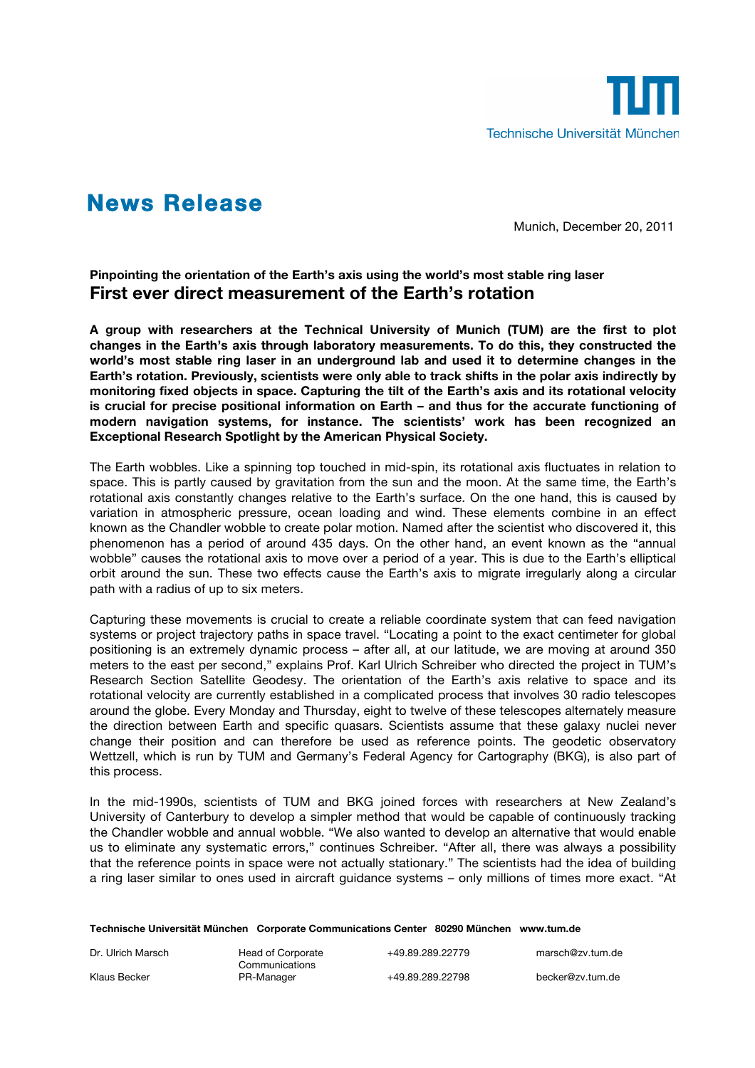

# **News Release**

Munich, December 20, 2011

## **Pinpointing the orientation of the Earth's axis using the world's most stable ring laser First ever direct measurement of the Earth's rotation**

**A group with researchers at the Technical University of Munich (TUM) are the first to plot changes in the Earth's axis through laboratory measurements. To do this, they constructed the world's most stable ring laser in an underground lab and used it to determine changes in the Earth's rotation. Previously, scientists were only able to track shifts in the polar axis indirectly by monitoring fixed objects in space. Capturing the tilt of the Earth's axis and its rotational velocity is crucial for precise positional information on Earth – and thus for the accurate functioning of modern navigation systems, for instance. The scientists' work has been recognized an Exceptional Research Spotlight by the American Physical Society.**

The Earth wobbles. Like a spinning top touched in mid-spin, its rotational axis fluctuates in relation to space. This is partly caused by gravitation from the sun and the moon. At the same time, the Earth's rotational axis constantly changes relative to the Earth's surface. On the one hand, this is caused by variation in atmospheric pressure, ocean loading and wind. These elements combine in an effect known as the Chandler wobble to create polar motion. Named after the scientist who discovered it, this phenomenon has a period of around 435 days. On the other hand, an event known as the "annual wobble" causes the rotational axis to move over a period of a year. This is due to the Earth's elliptical orbit around the sun. These two effects cause the Earth's axis to migrate irregularly along a circular path with a radius of up to six meters.

Capturing these movements is crucial to create a reliable coordinate system that can feed navigation systems or project trajectory paths in space travel. "Locating a point to the exact centimeter for global positioning is an extremely dynamic process – after all, at our latitude, we are moving at around 350 meters to the east per second," explains Prof. Karl Ulrich Schreiber who directed the project in TUM's Research Section Satellite Geodesy. The orientation of the Earth's axis relative to space and its rotational velocity are currently established in a complicated process that involves 30 radio telescopes around the globe. Every Monday and Thursday, eight to twelve of these telescopes alternately measure the direction between Earth and specific quasars. Scientists assume that these galaxy nuclei never change their position and can therefore be used as reference points. The geodetic observatory Wettzell, which is run by TUM and Germany's Federal Agency for Cartography (BKG), is also part of this process.

In the mid-1990s, scientists of TUM and BKG joined forces with researchers at New Zealand's University of Canterbury to develop a simpler method that would be capable of continuously tracking the Chandler wobble and annual wobble. "We also wanted to develop an alternative that would enable us to eliminate any systematic errors," continues Schreiber. "After all, there was always a possibility that the reference points in space were not actually stationary." The scientists had the idea of building a ring laser similar to ones used in aircraft guidance systems – only millions of times more exact. "At

|  | Technische Universität München Corporate Communications Center 80290 München www.tum.de |  |  |
|--|-----------------------------------------------------------------------------------------|--|--|
|--|-----------------------------------------------------------------------------------------|--|--|

| Dr. Ulrich Marsch | Head of Corporate<br>Communications | +49.89.289.22779 | marsch@zv.tum.de |
|-------------------|-------------------------------------|------------------|------------------|
| Klaus Becker      | PR-Manager                          | +49.89.289.22798 | becker@zv.tum.de |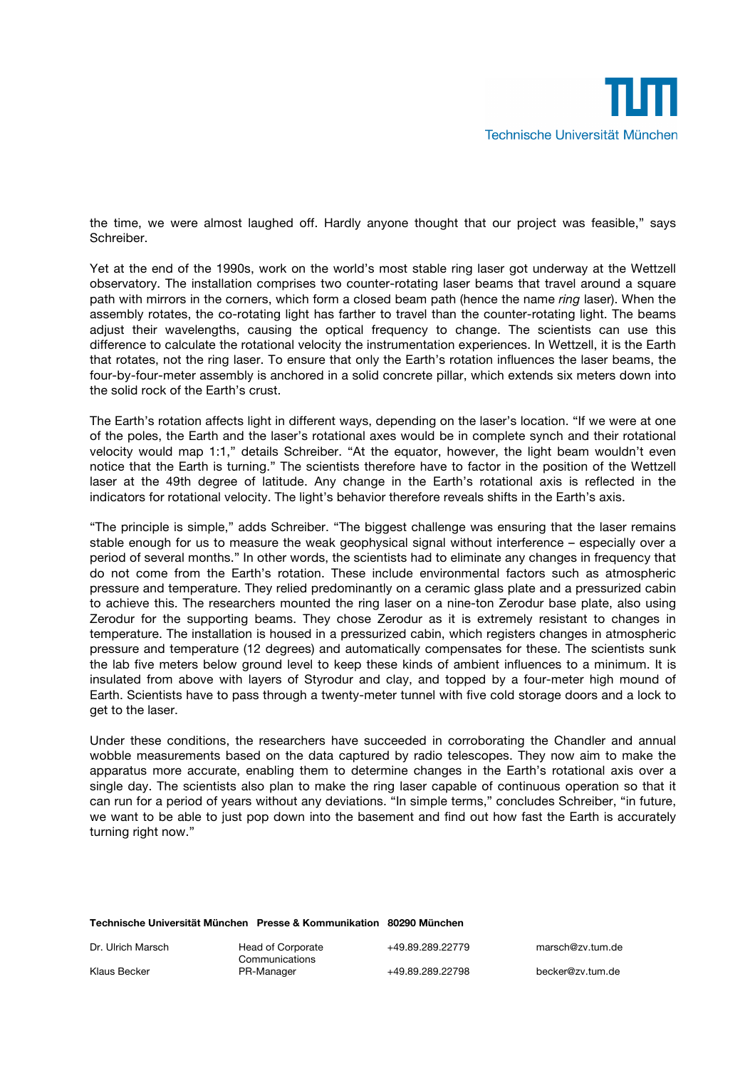the time, we were almost laughed off. Hardly anyone thought that our project was feasible," says Schreiber.

Yet at the end of the 1990s, work on the world's most stable ring laser got underway at the Wettzell observatory. The installation comprises two counter-rotating laser beams that travel around a square path with mirrors in the corners, which form a closed beam path (hence the name *ring* laser). When the assembly rotates, the co-rotating light has farther to travel than the counter-rotating light. The beams adjust their wavelengths, causing the optical frequency to change. The scientists can use this difference to calculate the rotational velocity the instrumentation experiences. In Wettzell, it is the Earth that rotates, not the ring laser. To ensure that only the Earth's rotation influences the laser beams, the four-by-four-meter assembly is anchored in a solid concrete pillar, which extends six meters down into the solid rock of the Earth's crust.

The Earth's rotation affects light in different ways, depending on the laser's location. "If we were at one of the poles, the Earth and the laser's rotational axes would be in complete synch and their rotational velocity would map 1:1," details Schreiber. "At the equator, however, the light beam wouldn't even notice that the Earth is turning." The scientists therefore have to factor in the position of the Wettzell laser at the 49th degree of latitude. Any change in the Earth's rotational axis is reflected in the indicators for rotational velocity. The light's behavior therefore reveals shifts in the Earth's axis.

"The principle is simple," adds Schreiber. "The biggest challenge was ensuring that the laser remains stable enough for us to measure the weak geophysical signal without interference – especially over a period of several months." In other words, the scientists had to eliminate any changes in frequency that do not come from the Earth's rotation. These include environmental factors such as atmospheric pressure and temperature. They relied predominantly on a ceramic glass plate and a pressurized cabin to achieve this. The researchers mounted the ring laser on a nine-ton Zerodur base plate, also using Zerodur for the supporting beams. They chose Zerodur as it is extremely resistant to changes in temperature. The installation is housed in a pressurized cabin, which registers changes in atmospheric pressure and temperature (12 degrees) and automatically compensates for these. The scientists sunk the lab five meters below ground level to keep these kinds of ambient influences to a minimum. It is insulated from above with layers of Styrodur and clay, and topped by a four-meter high mound of Earth. Scientists have to pass through a twenty-meter tunnel with five cold storage doors and a lock to get to the laser.

Under these conditions, the researchers have succeeded in corroborating the Chandler and annual wobble measurements based on the data captured by radio telescopes. They now aim to make the apparatus more accurate, enabling them to determine changes in the Earth's rotational axis over a single day. The scientists also plan to make the ring laser capable of continuous operation so that it can run for a period of years without any deviations. "In simple terms," concludes Schreiber, "in future, we want to be able to just pop down into the basement and find out how fast the Earth is accurately turning right now."

| Technische Universität München Presse & Kommunikation 80290 München |  |  |
|---------------------------------------------------------------------|--|--|
|---------------------------------------------------------------------|--|--|

| Dr. Ulrich Marsch | Head of Corporate<br>Communications | +49.89.289.22779 | marsch@zv.tum.de |
|-------------------|-------------------------------------|------------------|------------------|
| Klaus Becker      | PR-Manager                          | +49.89.289.22798 | becker@zv.tum.de |